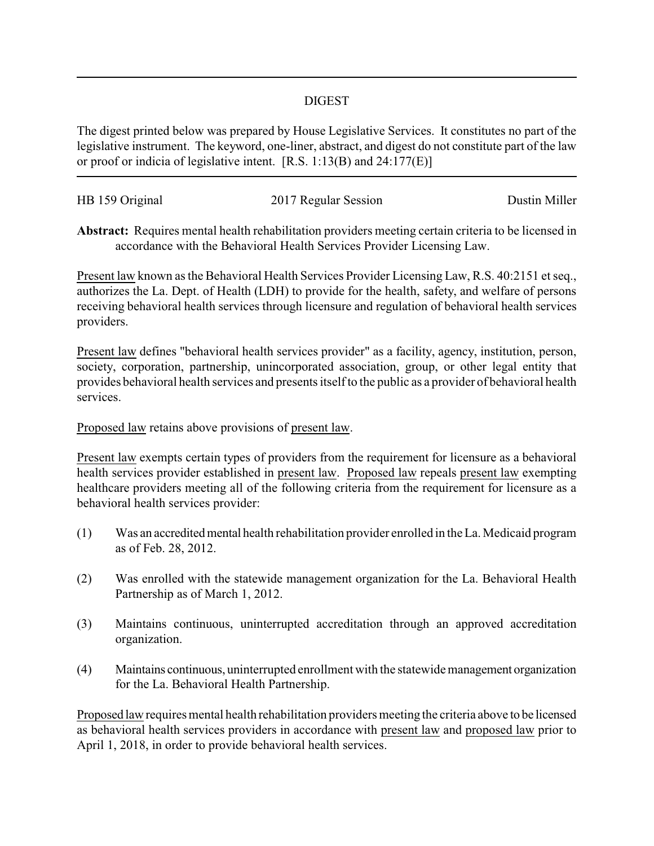## DIGEST

The digest printed below was prepared by House Legislative Services. It constitutes no part of the legislative instrument. The keyword, one-liner, abstract, and digest do not constitute part of the law or proof or indicia of legislative intent. [R.S. 1:13(B) and 24:177(E)]

| HB 159 Original | 2017 Regular Session | Dustin Miller |
|-----------------|----------------------|---------------|
|                 |                      |               |

**Abstract:** Requires mental health rehabilitation providers meeting certain criteria to be licensed in accordance with the Behavioral Health Services Provider Licensing Law.

Present law known as the Behavioral Health Services Provider Licensing Law, R.S. 40:2151 et seq., authorizes the La. Dept. of Health (LDH) to provide for the health, safety, and welfare of persons receiving behavioral health services through licensure and regulation of behavioral health services providers.

Present law defines "behavioral health services provider" as a facility, agency, institution, person, society, corporation, partnership, unincorporated association, group, or other legal entity that provides behavioral health services and presents itself to the public as a provider of behavioral health services.

Proposed law retains above provisions of present law.

Present law exempts certain types of providers from the requirement for licensure as a behavioral health services provider established in present law. Proposed law repeals present law exempting healthcare providers meeting all of the following criteria from the requirement for licensure as a behavioral health services provider:

- (1) Was an accreditedmental health rehabilitation provider enrolled in the La. Medicaid program as of Feb. 28, 2012.
- (2) Was enrolled with the statewide management organization for the La. Behavioral Health Partnership as of March 1, 2012.
- (3) Maintains continuous, uninterrupted accreditation through an approved accreditation organization.
- (4) Maintains continuous, uninterrupted enrollment with the statewide management organization for the La. Behavioral Health Partnership.

Proposed law requires mental health rehabilitation providers meeting the criteria above to be licensed as behavioral health services providers in accordance with present law and proposed law prior to April 1, 2018, in order to provide behavioral health services.